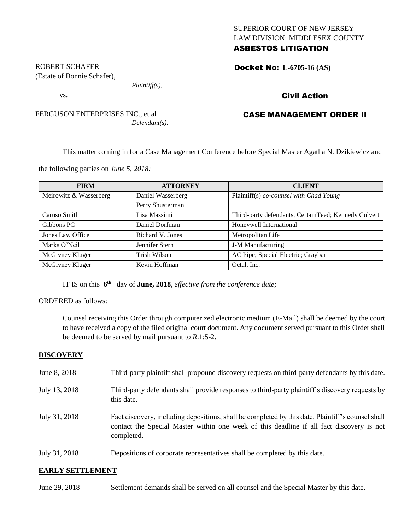## SUPERIOR COURT OF NEW JERSEY LAW DIVISION: MIDDLESEX COUNTY ASBESTOS LITIGATION

Docket No: **L-6705-16 (AS)** 

# Civil Action

# CASE MANAGEMENT ORDER II

This matter coming in for a Case Management Conference before Special Master Agatha N. Dzikiewicz and

the following parties on *June 5, 2018:*

FERGUSON ENTERPRISES INC., et al

| <b>FIRM</b>            | <b>ATTORNEY</b>   | <b>CLIENT</b>                                        |
|------------------------|-------------------|------------------------------------------------------|
| Meirowitz & Wasserberg | Daniel Wasserberg | Plaintiff(s) co-counsel with Chad Young              |
|                        | Perry Shusterman  |                                                      |
| Caruso Smith           | Lisa Massimi      | Third-party defendants, CertainTeed; Kennedy Culvert |
| Gibbons PC             | Daniel Dorfman    | Honeywell International                              |
| Jones Law Office       | Richard V. Jones  | Metropolitan Life                                    |
| Marks O'Neil           | Jennifer Stern    | J-M Manufacturing                                    |
| McGivney Kluger        | Trish Wilson      | AC Pipe; Special Electric; Graybar                   |
| McGivney Kluger        | Kevin Hoffman     | Octal, Inc.                                          |

IT IS on this  $6^{\text{th}}$  day of **June, 2018**, *effective from the conference date*;

ORDERED as follows:

Counsel receiving this Order through computerized electronic medium (E-Mail) shall be deemed by the court to have received a copy of the filed original court document. Any document served pursuant to this Order shall be deemed to be served by mail pursuant to *R*.1:5-2.

#### **DISCOVERY**

- June 8, 2018 Third-party plaintiff shall propound discovery requests on third-party defendants by this date.
- July 13, 2018 Third-party defendants shall provide responses to third-party plaintiff's discovery requests by this date.
- July 31, 2018 Fact discovery, including depositions, shall be completed by this date. Plaintiff's counsel shall contact the Special Master within one week of this deadline if all fact discovery is not completed.
- July 31, 2018 Depositions of corporate representatives shall be completed by this date.

#### **EARLY SETTLEMENT**

| June 29, 2018<br>Settlement demands shall be served on all counsel and the Special Master by this date. |  |
|---------------------------------------------------------------------------------------------------------|--|
|---------------------------------------------------------------------------------------------------------|--|

#### ROBERT SCHAFER (Estate of Bonnie Schafer),

*Plaintiff(s),*

*Defendant(s).*

vs.